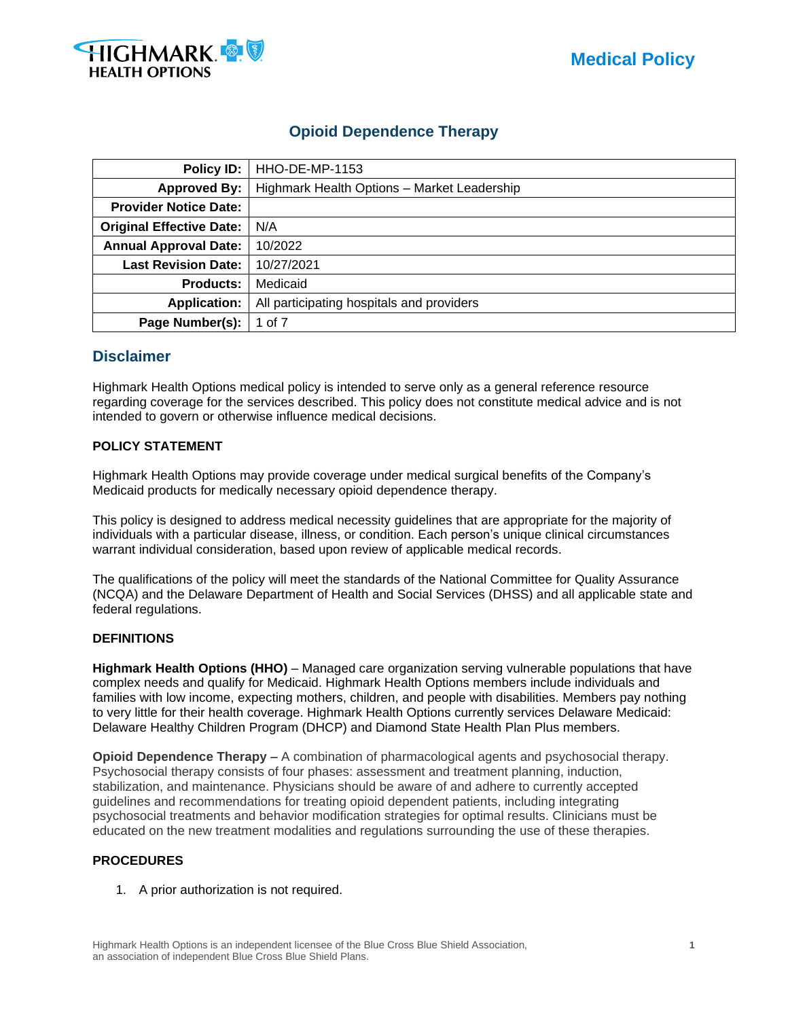



# **Opioid Dependence Therapy**

| Policy ID:                      | <b>HHO-DE-MP-1153</b>                       |  |  |
|---------------------------------|---------------------------------------------|--|--|
| <b>Approved By:</b>             | Highmark Health Options - Market Leadership |  |  |
| <b>Provider Notice Date:</b>    |                                             |  |  |
| <b>Original Effective Date:</b> | N/A                                         |  |  |
| <b>Annual Approval Date:</b>    | 10/2022                                     |  |  |
| <b>Last Revision Date:</b>      | 10/27/2021                                  |  |  |
| <b>Products:</b>                | Medicaid                                    |  |  |
| <b>Application:</b>             | All participating hospitals and providers   |  |  |
| Page Number(s):                 | 1 of 7                                      |  |  |

## **Disclaimer**

Highmark Health Options medical policy is intended to serve only as a general reference resource regarding coverage for the services described. This policy does not constitute medical advice and is not intended to govern or otherwise influence medical decisions.

#### **POLICY STATEMENT**

Highmark Health Options may provide coverage under medical surgical benefits of the Company's Medicaid products for medically necessary opioid dependence therapy.

This policy is designed to address medical necessity guidelines that are appropriate for the majority of individuals with a particular disease, illness, or condition. Each person's unique clinical circumstances warrant individual consideration, based upon review of applicable medical records.

The qualifications of the policy will meet the standards of the National Committee for Quality Assurance (NCQA) and the Delaware Department of Health and Social Services (DHSS) and all applicable state and federal regulations.

#### **DEFINITIONS**

**Highmark Health Options (HHO)** – Managed care organization serving vulnerable populations that have complex needs and qualify for Medicaid. Highmark Health Options members include individuals and families with low income, expecting mothers, children, and people with disabilities. Members pay nothing to very little for their health coverage. Highmark Health Options currently services Delaware Medicaid: Delaware Healthy Children Program (DHCP) and Diamond State Health Plan Plus members.

**Opioid Dependence Therapy** – A combination of pharmacological agents and psychosocial therapy. Psychosocial therapy consists of four phases: assessment and treatment planning, induction, stabilization, and maintenance. Physicians should be aware of and adhere to currently accepted guidelines and recommendations for treating opioid dependent patients, including integrating psychosocial treatments and behavior modification strategies for optimal results. Clinicians must be educated on the new treatment modalities and regulations surrounding the use of these therapies.

#### **PROCEDURES**

1. A prior authorization is not required.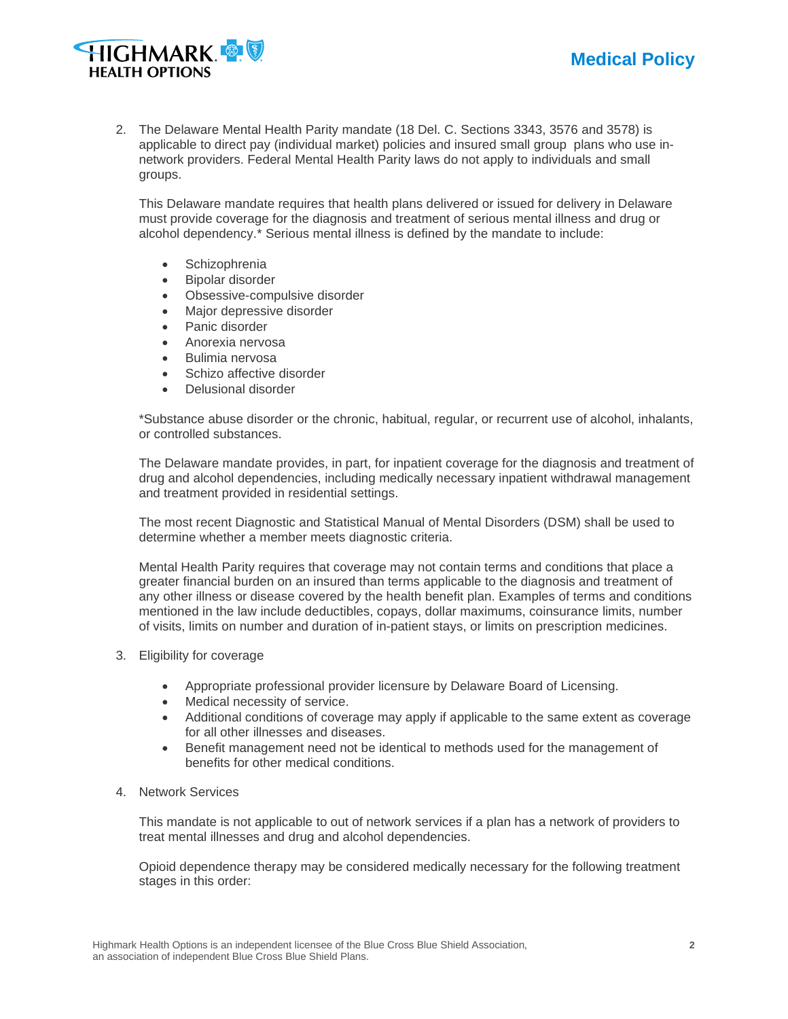



2. The Delaware Mental Health Parity mandate (18 Del. C. Sections 3343, 3576 and 3578) is applicable to direct pay (individual market) policies and insured small group plans who use innetwork providers. Federal Mental Health Parity laws do not apply to individuals and small groups.

This Delaware mandate requires that health plans delivered or issued for delivery in Delaware must provide coverage for the diagnosis and treatment of serious mental illness and drug or alcohol dependency.\* Serious mental illness is defined by the mandate to include:

- Schizophrenia
- Bipolar disorder
- Obsessive-compulsive disorder
- Major depressive disorder
- Panic disorder
- Anorexia nervosa
- Bulimia nervosa
- Schizo affective disorder
- Delusional disorder

\*Substance abuse disorder or the chronic, habitual, regular, or recurrent use of alcohol, inhalants, or controlled substances.

The Delaware mandate provides, in part, for inpatient coverage for the diagnosis and treatment of drug and alcohol dependencies, including medically necessary inpatient withdrawal management and treatment provided in residential settings.

The most recent Diagnostic and Statistical Manual of Mental Disorders (DSM) shall be used to determine whether a member meets diagnostic criteria.

Mental Health Parity requires that coverage may not contain terms and conditions that place a greater financial burden on an insured than terms applicable to the diagnosis and treatment of any other illness or disease covered by the health benefit plan. Examples of terms and conditions mentioned in the law include deductibles, copays, dollar maximums, coinsurance limits, number of visits, limits on number and duration of in-patient stays, or limits on prescription medicines.

- 3. Eligibility for coverage
	- Appropriate professional provider licensure by Delaware Board of Licensing.
	- Medical necessity of service.
	- Additional conditions of coverage may apply if applicable to the same extent as coverage for all other illnesses and diseases.
	- Benefit management need not be identical to methods used for the management of benefits for other medical conditions.
- 4. Network Services

This mandate is not applicable to out of network services if a plan has a network of providers to treat mental illnesses and drug and alcohol dependencies.

Opioid dependence therapy may be considered medically necessary for the following treatment stages in this order: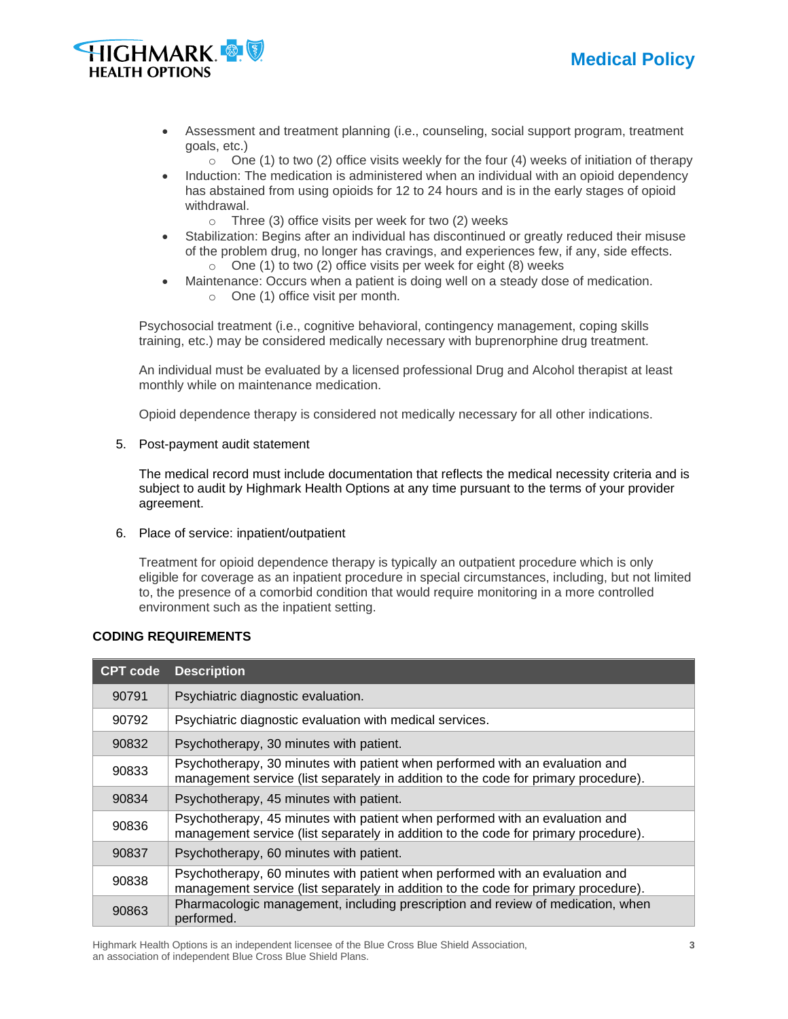



- Assessment and treatment planning (i.e., counseling, social support program, treatment goals, etc.)
	- $\circ$  One (1) to two (2) office visits weekly for the four (4) weeks of initiation of therapy
- Induction: The medication is administered when an individual with an opioid dependency has abstained from using opioids for 12 to 24 hours and is in the early stages of opioid withdrawal.
	- $\circ$  Three (3) office visits per week for two (2) weeks
- Stabilization: Begins after an individual has discontinued or greatly reduced their misuse of the problem drug, no longer has cravings, and experiences few, if any, side effects.
	- $\circ$  One (1) to two (2) office visits per week for eight (8) weeks
- Maintenance: Occurs when a patient is doing well on a steady dose of medication.
	- o One (1) office visit per month.

Psychosocial treatment (i.e., cognitive behavioral, contingency management, coping skills training, etc.) may be considered medically necessary with buprenorphine drug treatment.

An individual must be evaluated by a licensed professional Drug and Alcohol therapist at least monthly while on maintenance medication.

Opioid dependence therapy is considered not medically necessary for all other indications.

#### 5. Post-payment audit statement

The medical record must include documentation that reflects the medical necessity criteria and is subject to audit by Highmark Health Options at any time pursuant to the terms of your provider agreement.

6. Place of service: inpatient/outpatient

Treatment for opioid dependence therapy is typically an outpatient procedure which is only eligible for coverage as an inpatient procedure in special circumstances, including, but not limited to, the presence of a comorbid condition that would require monitoring in a more controlled environment such as the inpatient setting.

#### **CODING REQUIREMENTS**

| <b>CPT code</b> | <b>Description</b>                                                                                                                                                  |
|-----------------|---------------------------------------------------------------------------------------------------------------------------------------------------------------------|
| 90791           | Psychiatric diagnostic evaluation.                                                                                                                                  |
| 90792           | Psychiatric diagnostic evaluation with medical services.                                                                                                            |
| 90832           | Psychotherapy, 30 minutes with patient.                                                                                                                             |
| 90833           | Psychotherapy, 30 minutes with patient when performed with an evaluation and<br>management service (list separately in addition to the code for primary procedure). |
| 90834           | Psychotherapy, 45 minutes with patient.                                                                                                                             |
| 90836           | Psychotherapy, 45 minutes with patient when performed with an evaluation and<br>management service (list separately in addition to the code for primary procedure). |
| 90837           | Psychotherapy, 60 minutes with patient.                                                                                                                             |
| 90838           | Psychotherapy, 60 minutes with patient when performed with an evaluation and<br>management service (list separately in addition to the code for primary procedure). |
| 90863           | Pharmacologic management, including prescription and review of medication, when<br>performed.                                                                       |

Highmark Health Options is an independent licensee of the Blue Cross Blue Shield Association, **3** an association of independent Blue Cross Blue Shield Plans.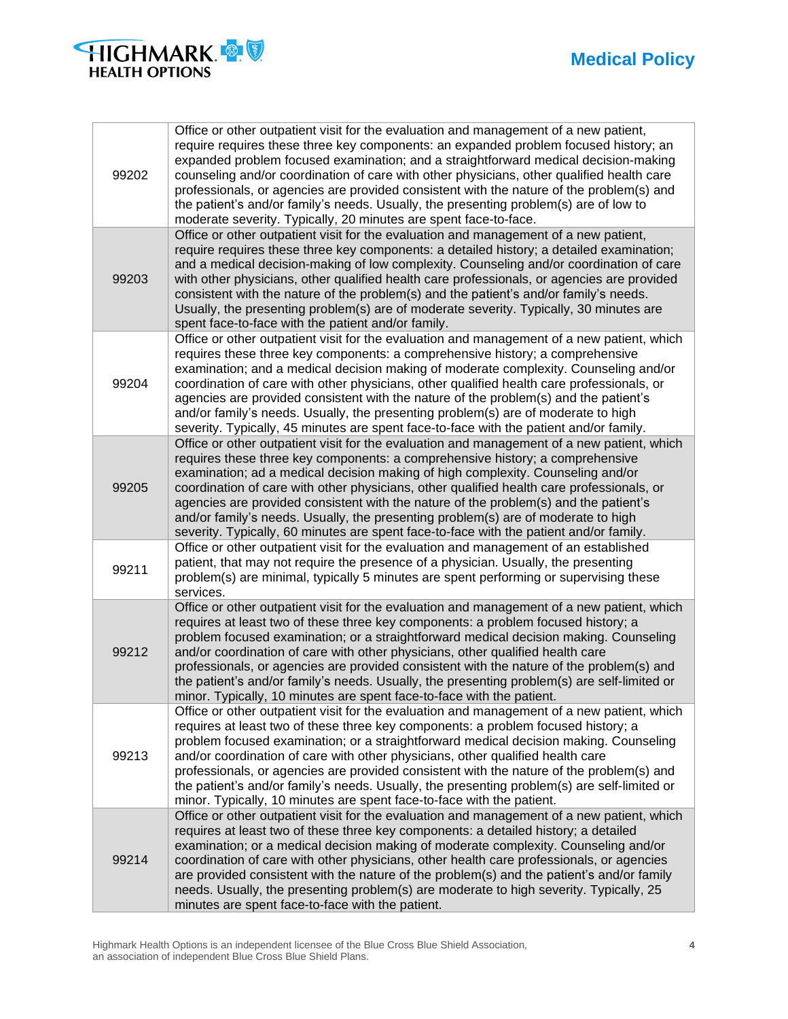# **Medical Policy**



| 99202 | Office or other outpatient visit for the evaluation and management of a new patient,<br>require requires these three key components: an expanded problem focused history; an<br>expanded problem focused examination; and a straightforward medical decision-making<br>counseling and/or coordination of care with other physicians, other qualified health care<br>professionals, or agencies are provided consistent with the nature of the problem(s) and<br>the patient's and/or family's needs. Usually, the presenting problem(s) are of low to<br>moderate severity. Typically, 20 minutes are spent face-to-face.               |
|-------|-----------------------------------------------------------------------------------------------------------------------------------------------------------------------------------------------------------------------------------------------------------------------------------------------------------------------------------------------------------------------------------------------------------------------------------------------------------------------------------------------------------------------------------------------------------------------------------------------------------------------------------------|
| 99203 | Office or other outpatient visit for the evaluation and management of a new patient,<br>require requires these three key components: a detailed history; a detailed examination;<br>and a medical decision-making of low complexity. Counseling and/or coordination of care<br>with other physicians, other qualified health care professionals, or agencies are provided<br>consistent with the nature of the problem(s) and the patient's and/or family's needs.<br>Usually, the presenting problem(s) are of moderate severity. Typically, 30 minutes are<br>spent face-to-face with the patient and/or family.                      |
| 99204 | Office or other outpatient visit for the evaluation and management of a new patient, which<br>requires these three key components: a comprehensive history; a comprehensive<br>examination; and a medical decision making of moderate complexity. Counseling and/or<br>coordination of care with other physicians, other qualified health care professionals, or<br>agencies are provided consistent with the nature of the problem(s) and the patient's<br>and/or family's needs. Usually, the presenting problem(s) are of moderate to high<br>severity. Typically, 45 minutes are spent face-to-face with the patient and/or family. |
| 99205 | Office or other outpatient visit for the evaluation and management of a new patient, which<br>requires these three key components: a comprehensive history; a comprehensive<br>examination; ad a medical decision making of high complexity. Counseling and/or<br>coordination of care with other physicians, other qualified health care professionals, or<br>agencies are provided consistent with the nature of the problem(s) and the patient's<br>and/or family's needs. Usually, the presenting problem(s) are of moderate to high<br>severity. Typically, 60 minutes are spent face-to-face with the patient and/or family.      |
| 99211 | Office or other outpatient visit for the evaluation and management of an established<br>patient, that may not require the presence of a physician. Usually, the presenting<br>problem(s) are minimal, typically 5 minutes are spent performing or supervising these<br>services.                                                                                                                                                                                                                                                                                                                                                        |
| 99212 | Office or other outpatient visit for the evaluation and management of a new patient, which<br>requires at least two of these three key components: a problem focused history; a<br>problem focused examination; or a straightforward medical decision making. Counseling<br>and/or coordination of care with other physicians, other qualified health care<br>professionals, or agencies are provided consistent with the nature of the problem(s) and<br>the patient's and/or family's needs. Usually, the presenting problem(s) are self-limited or<br>minor. Typically, 10 minutes are spent face-to-face with the patient.          |
| 99213 | Office or other outpatient visit for the evaluation and management of a new patient, which<br>requires at least two of these three key components: a problem focused history; a<br>problem focused examination; or a straightforward medical decision making. Counseling<br>and/or coordination of care with other physicians, other qualified health care<br>professionals, or agencies are provided consistent with the nature of the problem(s) and<br>the patient's and/or family's needs. Usually, the presenting problem(s) are self-limited or<br>minor. Typically, 10 minutes are spent face-to-face with the patient.          |
| 99214 | Office or other outpatient visit for the evaluation and management of a new patient, which<br>requires at least two of these three key components: a detailed history; a detailed<br>examination; or a medical decision making of moderate complexity. Counseling and/or<br>coordination of care with other physicians, other health care professionals, or agencies<br>are provided consistent with the nature of the problem(s) and the patient's and/or family<br>needs. Usually, the presenting problem(s) are moderate to high severity. Typically, 25<br>minutes are spent face-to-face with the patient.                         |

Highmark Health Options is an independent licensee of the Blue Cross Blue Shield Association, **4** an association of independent Blue Cross Blue Shield Plans.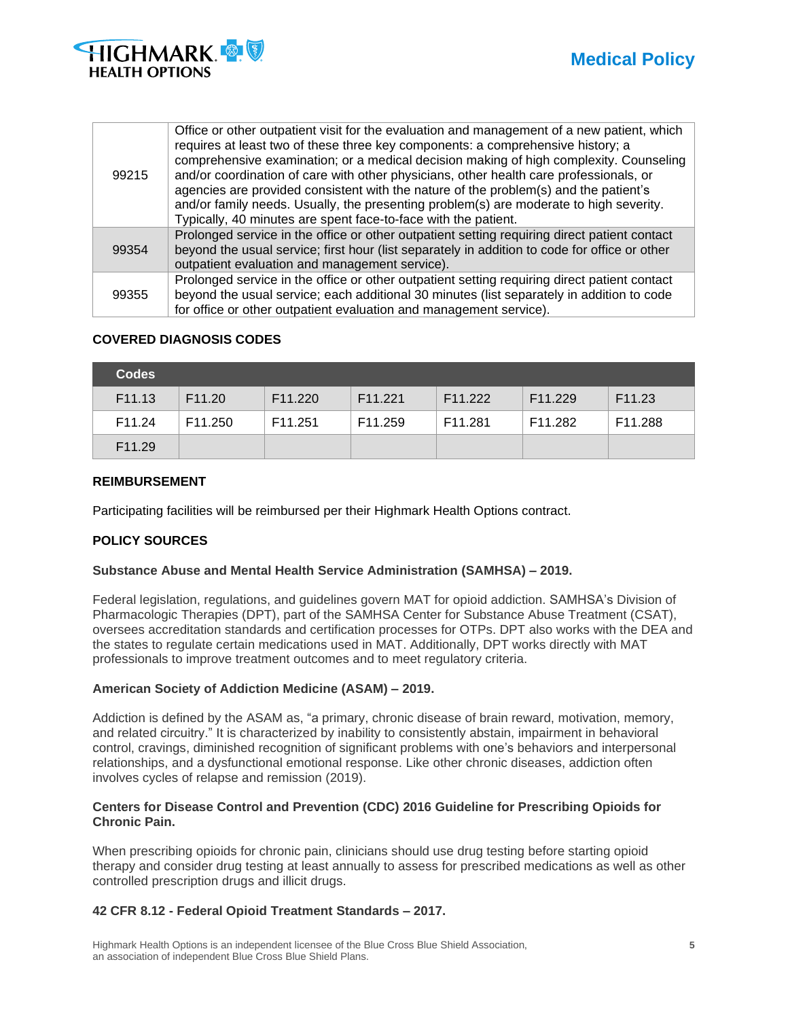

| 99215 | Office or other outpatient visit for the evaluation and management of a new patient, which<br>requires at least two of these three key components: a comprehensive history; a<br>comprehensive examination; or a medical decision making of high complexity. Counseling<br>and/or coordination of care with other physicians, other health care professionals, or<br>agencies are provided consistent with the nature of the problem(s) and the patient's<br>and/or family needs. Usually, the presenting problem(s) are moderate to high severity.<br>Typically, 40 minutes are spent face-to-face with the patient. |
|-------|-----------------------------------------------------------------------------------------------------------------------------------------------------------------------------------------------------------------------------------------------------------------------------------------------------------------------------------------------------------------------------------------------------------------------------------------------------------------------------------------------------------------------------------------------------------------------------------------------------------------------|
| 99354 | Prolonged service in the office or other outpatient setting requiring direct patient contact<br>beyond the usual service; first hour (list separately in addition to code for office or other<br>outpatient evaluation and management service).                                                                                                                                                                                                                                                                                                                                                                       |
| 99355 | Prolonged service in the office or other outpatient setting requiring direct patient contact<br>beyond the usual service; each additional 30 minutes (list separately in addition to code<br>for office or other outpatient evaluation and management service).                                                                                                                                                                                                                                                                                                                                                       |

#### **COVERED DIAGNOSIS CODES**

| <b>Codes</b>       |                     |                     |                     |                     |                     |                    |
|--------------------|---------------------|---------------------|---------------------|---------------------|---------------------|--------------------|
| F <sub>11.13</sub> | F <sub>11.20</sub>  | F <sub>11.220</sub> | F <sub>11.221</sub> | F <sub>11.222</sub> | F <sub>11.229</sub> | F <sub>11.23</sub> |
| F11.24             | F <sub>11.250</sub> | F <sub>11.251</sub> | F11.259             | F11.281             | F <sub>11.282</sub> | F11.288            |
| F <sub>11.29</sub> |                     |                     |                     |                     |                     |                    |

#### **REIMBURSEMENT**

Participating facilities will be reimbursed per their Highmark Health Options contract.

## **POLICY SOURCES**

#### **Substance Abuse and Mental Health Service Administration (SAMHSA) – 2019.**

Federal legislation, regulations, and guidelines govern MAT for opioid addiction. SAMHSA's Division of Pharmacologic Therapies (DPT), part of the SAMHSA Center for Substance Abuse Treatment (CSAT), oversees accreditation standards and certification processes for OTPs. DPT also works with the DEA and the states to regulate certain medications used in MAT. Additionally, DPT works directly with MAT professionals to improve treatment outcomes and to meet regulatory criteria.

#### **American Society of Addiction Medicine (ASAM) – 2019.**

Addiction is defined by the ASAM as, "a primary, chronic disease of brain reward, motivation, memory, and related circuitry." It is characterized by inability to consistently abstain, impairment in behavioral control, cravings, diminished recognition of significant problems with one's behaviors and interpersonal relationships, and a dysfunctional emotional response. Like other chronic diseases, addiction often involves cycles of relapse and remission (2019).

#### **Centers for Disease Control and Prevention (CDC) 2016 Guideline for Prescribing Opioids for Chronic Pain.**

When prescribing opioids for chronic pain, clinicians should use drug testing before starting opioid therapy and consider drug testing at least annually to assess for prescribed medications as well as other controlled prescription drugs and illicit drugs.

#### **42 CFR 8.12 - Federal Opioid Treatment Standards – 2017.**

Highmark Health Options is an independent licensee of the Blue Cross Blue Shield Association, **5** an association of independent Blue Cross Blue Shield Plans.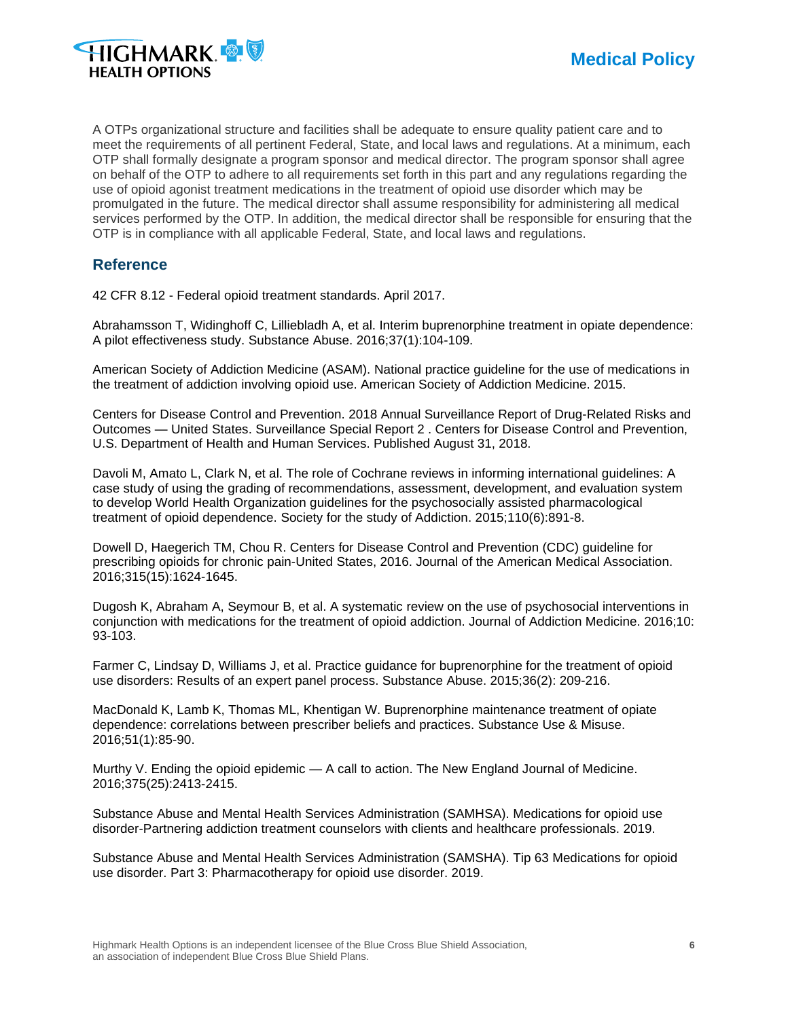

A OTPs organizational structure and facilities shall be adequate to ensure quality patient care and to meet the requirements of all pertinent Federal, State, and local laws and regulations. At a minimum, each OTP shall formally designate a program sponsor and medical director. The program sponsor shall agree on behalf of the OTP to adhere to all requirements set forth in this part and any regulations regarding the use of opioid agonist treatment medications in the treatment of opioid use disorder which may be promulgated in the future. The medical director shall assume responsibility for administering all medical services performed by the OTP. In addition, the medical director shall be responsible for ensuring that the OTP is in compliance with all applicable Federal, State, and local laws and regulations.

# **Reference**

42 CFR 8.12 - Federal opioid treatment standards. April 2017.

Abrahamsson T, Widinghoff C, Lilliebladh A, et al. Interim buprenorphine treatment in opiate dependence: A pilot effectiveness study. Substance Abuse. 2016;37(1):104-109.

American Society of Addiction Medicine (ASAM). National practice guideline for the use of medications in the treatment of addiction involving opioid use. American Society of Addiction Medicine. 2015.

Centers for Disease Control and Prevention. 2018 Annual Surveillance Report of Drug-Related Risks and Outcomes — United States. Surveillance Special Report 2 . Centers for Disease Control and Prevention, U.S. Department of Health and Human Services. Published August 31, 2018.

Davoli M, Amato L, Clark N, et al. The role of Cochrane reviews in informing international guidelines: A case study of using the grading of recommendations, assessment, development, and evaluation system to develop World Health Organization guidelines for the psychosocially assisted pharmacological treatment of opioid dependence. Society for the study of Addiction. 2015;110(6):891-8.

Dowell D, Haegerich TM, Chou R. Centers for Disease Control and Prevention (CDC) guideline for prescribing opioids for chronic pain-United States, 2016. Journal of the American Medical Association. 2016;315(15):1624-1645.

Dugosh K, Abraham A, Seymour B, et al. A systematic review on the use of psychosocial interventions in conjunction with medications for the treatment of opioid addiction. Journal of Addiction Medicine. 2016;10: 93-103.

Farmer C, Lindsay D, Williams J, et al. Practice guidance for buprenorphine for the treatment of opioid use disorders: Results of an expert panel process. Substance Abuse. 2015;36(2): 209-216.

MacDonald K, Lamb K, Thomas ML, Khentigan W. Buprenorphine maintenance treatment of opiate dependence: correlations between prescriber beliefs and practices. Substance Use & Misuse. 2016;51(1):85-90.

Murthy V. Ending the opioid epidemic — A call to action. The New England Journal of Medicine. 2016;375(25):2413-2415.

Substance Abuse and Mental Health Services Administration (SAMHSA). Medications for opioid use disorder-Partnering addiction treatment counselors with clients and healthcare professionals. 2019.

Substance Abuse and Mental Health Services Administration (SAMSHA). Tip 63 Medications for opioid use disorder. Part 3: Pharmacotherapy for opioid use disorder. 2019.